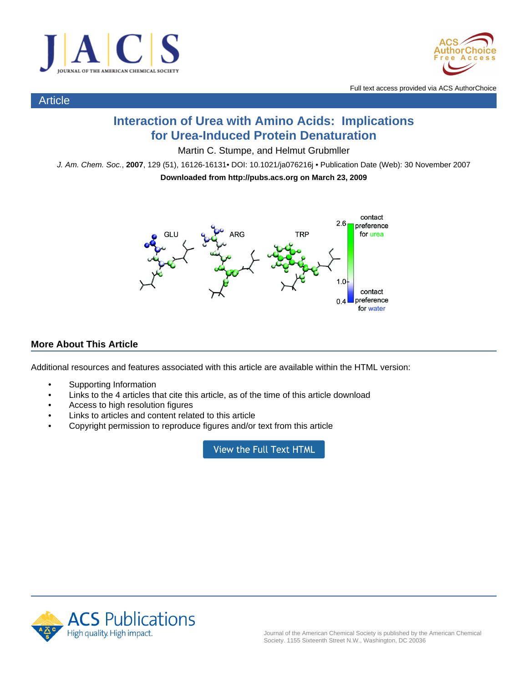

Article



Full text access provided via ACS AuthorChoice

# **Interaction of Urea with Amino Acids: Implications for Urea-Induced Protein Denaturation**

Martin C. Stumpe, and Helmut Grubmller

J. Am. Chem. Soc., **2007**, 129 (51), 16126-16131• DOI: 10.1021/ja076216j • Publication Date (Web): 30 November 2007

**Downloaded from http://pubs.acs.org on March 23, 2009**



# **More About This Article**

Additional resources and features associated with this article are available within the HTML version:

- Supporting Information
- Links to the 4 articles that cite this article, as of the time of this article download
- Access to high resolution figures
- Links to articles and content related to this article
- Copyright permission to reproduce figures and/or text from this article

View the Full Text HTML

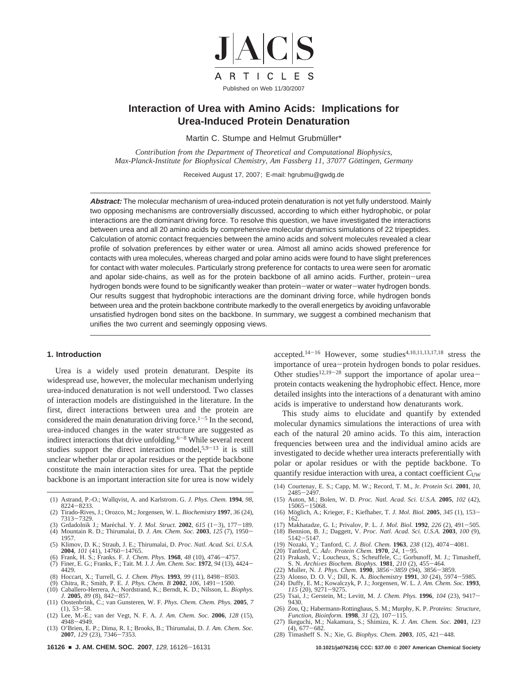

# **Interaction of Urea with Amino Acids: Implications for Urea-Induced Protein Denaturation**

Martin C. Stumpe and Helmut Grubmüller\*

*Contribution from the Department of Theoretical and Computational Biophysics, Max-Planck-Institute for Biophysical Chemistry, Am Fassberg 11, 37077 Göttingen, Germany* 

Received August 17, 2007; E-mail: hgrubmu@gwdg.de

**Abstract:** The molecular mechanism of urea-induced protein denaturation is not yet fully understood. Mainly two opposing mechanisms are controversially discussed, according to which either hydrophobic, or polar interactions are the dominant driving force. To resolve this question, we have investigated the interactions between urea and all 20 amino acids by comprehensive molecular dynamics simulations of 22 tripeptides. Calculation of atomic contact frequencies between the amino acids and solvent molecules revealed a clear profile of solvation preferences by either water or urea. Almost all amino acids showed preference for contacts with urea molecules, whereas charged and polar amino acids were found to have slight preferences for contact with water molecules. Particularly strong preference for contacts to urea were seen for aromatic and apolar side-chains, as well as for the protein backbone of all amino acids. Further, protein-urea hydrogen bonds were found to be significantly weaker than protein-water or water-water hydrogen bonds. Our results suggest that hydrophobic interactions are the dominant driving force, while hydrogen bonds between urea and the protein backbone contribute markedly to the overall energetics by avoiding unfavorable unsatisfied hydrogen bond sites on the backbone. In summary, we suggest a combined mechanism that unifies the two current and seemingly opposing views.

### **1. Introduction**

Urea is a widely used protein denaturant. Despite its widespread use, however, the molecular mechanism underlying urea-induced denaturation is not well understood. Two classes of interaction models are distinguished in the literature. In the first, direct interactions between urea and the protein are considered the main denaturation driving force.<sup>1-5</sup> In the second, urea-induced changes in the water structure are suggested as indirect interactions that drive unfolding. $6-8$  While several recent studies support the direct interaction model,  $5,9-13$  it is still unclear whether polar or apolar residues or the peptide backbone constitute the main interaction sites for urea. That the peptide backbone is an important interaction site for urea is now widely

- (1) Astrand, P.-O.; Wallqvist, A. and Karlstrom. G. *J. Phys. Chem.* **1994**, *98*, <sup>8224</sup>-8233. (2) Tirado-Rives, J.; Orozco, M.; Jorgensen, W. L. *Biochemistry* **1997**, *36* (24),
- 7313-7329.<br>
(3) Grdadolnik J.; Maréchal. Y. J. Mol. Struct. 2002, 615 (1-3), 177-189.
- (3) Grdadolnik J.; Mare´chal. Y. *J. Mol. Struct.* **<sup>2002</sup>**, *<sup>615</sup>* (1-3), 177-189. (4) Mountain R. D.; Thirumalai, D. *J. Am. Chem. Soc.* **<sup>2003</sup>**, *<sup>125</sup>* (7), 1950-
- 1957. (5) Klimov, D. K.; Straub, J. E.; Thirumalai, D. *Proc. Natl. Acad. Sci. U.S.A.*
- **2004**, *101* (41), 14760–14765.<br>(6) Frank, H. S.; Franks. F. *J. Chem. Phys.* **1968**, *48* (10), 4746–4757.<br>(7) Finer. E. G.: Franks. F.: Tait. M. J. J. Am. Chem. Soc. **1972**. 94 (13). 44
- (7) Finer, E. G.; Franks, F.; Tait. M. J. *J. Am. Chem. Soc.* **<sup>1972</sup>**, *<sup>94</sup>* (13), 4424- 4429.
- (8) Hoccart, X.; Turrell, G. *J. Chem. Phys.* **<sup>1993</sup>**, *<sup>99</sup>* (11), 8498-8503.
- (9) Chitra, R.; Smith, P. E. *J. Phys. Chem. B* **<sup>2002</sup>**, *<sup>106</sup>*, 1491-1500. (10) Caballero-Herrera, A.; Nordstrand, K.; Berndt, K. D.; Nilsson, L. *Biophys.*
- *J.* **<sup>2005</sup>**, *<sup>89</sup>* (8), 842-857. (11) Oostenbrink, C.; van Gunsteren, W. F. *Phys. Chem. Chem. Phys.* **2005**, *7*
- (1), 53-58. (12) Lee, M.-E.; van der Vegt, N. F. A. *J. Am. Chem. Soc.* **2006**, *128* (15),
- <sup>4948</sup>-4949. (13) O'Brien, E. P.; Dima, R. I.; Brooks, B.; Thirumalai, D. *J. Am. Chem. Soc.* **2007**, *129* (23), 7346–7353.<br>**16126 ■ J. AM. CHEM. SOC. 2007**, *129*, 16126–16131

accepted.<sup>14-16</sup> However, some studies<sup>4,10,11,13,17,18</sup> stress the importance of urea-protein hydrogen bonds to polar residues. Other studies<sup>12,19-28</sup> support the importance of apolar ureaprotein contacts weakening the hydrophobic effect. Hence, more detailed insights into the interactions of a denaturant with amino acids is imperative to understand how denaturants work.

This study aims to elucidate and quantify by extended molecular dynamics simulations the interactions of urea with each of the natural 20 amino acids. To this aim, interaction frequencies between urea and the individual amino acids are investigated to decide whether urea interacts preferentially with polar or apolar residues or with the peptide backbone. To quantify residue interaction with urea, a contact coefficient  $C_{UW}$ 

- (14) Courtenay, E. S.; Capp, M. W.; Record, T. M., Jr. *Protein Sci.* **2001**, *10*,
- <sup>2485</sup>-2497. (15) Auton, M.; Bolen, W. D. *Proc. Natl. Acad. Sci. U.S.A.* **2005**, *102* (42),
- 15065-15068.<br>(16) Möglich, A.; Krieger, F.; Kiefhaber, T. *J. Mol. Biol.* **2005**, 345 (1), 153-162.
- (17) Makhatadze, G. I.; Privalov, P. L. *J. Mol. Biol.* **<sup>1992</sup>**, *<sup>226</sup>* (2), 491-505. (18) Bennion, B. J.; Daggett, V. *Proc. Natl. Acad. Sci. U.S.A.* **2003**, *100* (9),
- 
- 
- 5142–5147.<br>
(19) Nozaki, Y.; Tanford, C. *J. Biol. Chem.* **1963**, 238 (12), 4074–4081.<br>
(20) Tanford, C. *Adv. Protein Chem.* **1970**, 24, 1–95.<br>
(21) Prakash, V.; Loucheux, S.; Scheuffele, C.; Gorbunoff, M. J.; Timasheff, S. N. *Archives Biochem. Biophys.* **1981**, *210* (2), 455-464.<br>(22) Muller, N. J. Phys. Chem. **1990**, 3856-3859 (94), 3856-3859.
- 
- (22) Muller, N. *J. Phys. Chem.* **1990**, 3856–3859 (94), 3856–3859.<br>(23) Alonso, D. O. V.; Dill, K. A. *Biochemistry* **1991**, 30 (24), 5974–5985.<br>(24) Duffy, E. M.; Kowalczyk, P. J.; Jorgensen, W. L. J. A*m. Chem. Soc.* **1**
- *<sup>115</sup>* (20), 9271-9275. (25) Tsai, J.; Gerstein, M.; Levitt, M. *J. Chem. Phys.* **<sup>1996</sup>**, *<sup>104</sup>* (23), 9417-
- 9430. (26) Zou, Q.; Habermann-Rottinghaus, S. M.; Murphy, K. P. *Proteins: Structure,*
- *Function, Bioinform.* **<sup>1998</sup>**, *<sup>31</sup>* (2), 107-115.
- (27) Ikeguchi, M.; Nakamura, S.; Shimizu, K. *J. Am. Chem. Soc.* **2001**, *123* (4), 677-682. (28) Timasheff S. N.; Xie, G. *Biophys. Chem.* **<sup>2003</sup>**, *<sup>105</sup>*, 421-448.
-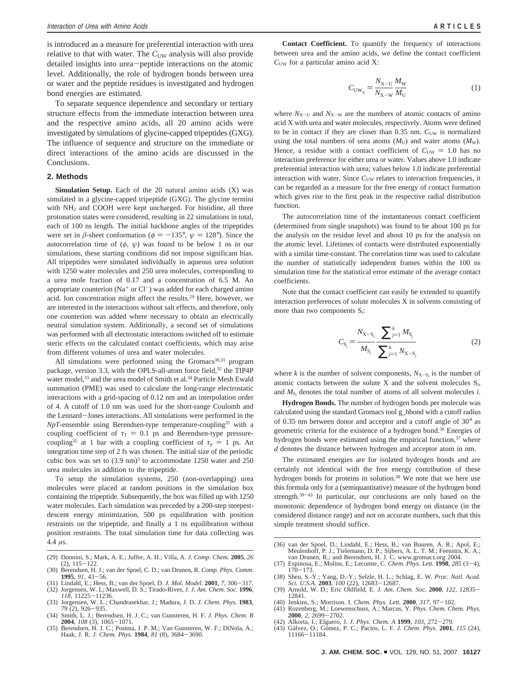is introduced as a measure for preferential interaction with urea relative to that with water. The C<sub>UW</sub> analysis will also provide detailed insights into urea-peptide interactions on the atomic level. Additionally, the role of hydrogen bonds between urea or water and the peptide residues is investigated and hydrogen bond energies are estimated.

To separate sequence dependence and secondary or tertiary structure effects from the immediate interaction between urea and the respective amino acids, all 20 amino acids were investigated by simulations of glycine-capped tripeptides (GXG). The influence of sequence and structure on the immediate or direct interactions of the amino acids are discussed in the Conclusions.

#### **2. Methods**

Simulation Setup. Each of the 20 natural amino acids (X) was simulated in a glycine-capped tripeptide (GXG). The glycine termini with NH2 and COOH were kept uncharged. For histidine, all three protonation states were considered, resulting in 22 simulations in total, each of 100 ns length. The initial backbone angles of the tripeptides were set in  $\beta$ -sheet conformation ( $\phi = -135^{\circ}$ ,  $\psi = 128^{\circ}$ ). Since the autocorrelation time of  $(\phi, \psi)$  was found to be below 1 ns in our simulations, these starting conditions did not impose significant bias. All tripeptides were simulated individually in aqueous urea solution with 1250 water molecules and 250 urea molecules, corresponding to a urea mole fraction of 0.17 and a concentration of 6.5 M. An appropriate counterion ( $Na<sup>+</sup>$  or Cl<sup>-</sup>) was added for each charged amino acid. Ion concentration might affect the results.29 Here, however, we are interested in the interactions without salt effects, and therefore, only one counterion was added where necessary to obtain an electrically neutral simulation system. Additionally, a second set of simulations was performed with all electrostatic interactions switched off to estimate steric effects on the calculated contact coefficients, which may arise from different volumes of urea and water molecules.

All simulations were performed using the Gromacs<sup>30,31</sup> program package, version 3.3, with the OPLS-all-atom force field,  $32$  the TIP4P water model,<sup>33</sup> and the urea model of Smith et al.<sup>34</sup> Particle Mesh Ewald summation (PME) was used to calculate the long-range electrostatic interactions with a grid-spacing of 0.12 nm and an interpolation order of 4. A cutoff of 1.0 nm was used for the short-range Coulomb and the Lennard-Jones interactions. All simulations were performed in the *NpT*-ensemble using Berendsen-type temperature-coupling<sup>35</sup> with a coupling coefficient of  $\tau_T = 0.1$  ps and Berendsen-type pressurecoupling<sup>35</sup> at 1 bar with a coupling coefficient of  $\tau_p = 1$  ps. An integration time step of 2 fs was chosen. The initial size of the periodic cubic box was set to  $(3.9 \text{ nm})^3$  to accommodate 1250 water and 250 urea molecules in addition to the tripeptide.

To setup the simulation systems, 250 (non-overlapping) urea molecules were placed at random positions in the simulation box containing the tripeptide. Subsequently, the box was filled up with 1250 water molecules. Each simulation was preceded by a 200-step steepestdescent energy minimization, 500 ps equilibration with position restraints on the tripeptide, and finally a 1 ns equilibration without position restraints. The total simulation time for data collecting was 4.4 *µ*s.

- (29) Donnini, S.; Mark, A. E.; Juffer, A. H.; Villa, A. *J. Comp. Chem.* **2005**, *26* (2), 115-122. (30) Berendsen, H. J.; van der Spoel, C. D.; van Drunen, R. *Comp. Phys. Comm.*
- 
- **<sup>1995</sup>**, *<sup>91</sup>*, 43-56. (31) Lindahl, E.; Hess, B.; van der Spoel, D. *J. Mol. Model.* **<sup>2001</sup>**, *<sup>7</sup>*, 306-317. (32) Jorgensen, W. L; Maxwell, D. S.; Tirado-Rives, J. *J. Am. Chem. Soc.* **1996**,
- *118*, 11225-11236.<br> *118*, 11225-11236.<br>
(33) Jorgensen, W. L.; Chandrasekhar, J.; Madura, J. D. *J. Chem. Phys.* **1983**,<br>
79 (2), 926-935. (33) Jorgensen, W. L.; Chandrasekhar, J.; Madura, J. D. *J. Chem. Phys.* **<sup>1983</sup>**, *<sup>79</sup>* (2), 926-935. (34) Smith, L. J.; Berendsen, H. J. C.; van Gunsteren, H. F. *J. Phys. Chem. B*
- **<sup>2004</sup>**, *<sup>108</sup>* (3), 1065-1071.
- (35) Berendsen, H. J. C.; Postma, J. P. M.; Van Gunsteren, W. F.; DiNola, A.; Haak, J. R. *J. Chem. Phys.* **<sup>1984</sup>**, *<sup>81</sup>* (8), 3684-3690.

**Contact Coefficient.** To quantify the frequency of interactions between urea and the amino acids, we define the contact coefficient  $C<sub>UW</sub>$  for a particular amino acid X:

$$
C_{\text{UW}_X} = \frac{N_{\text{X-U}}}{N_{\text{X-W}}} \frac{M_{\text{W}}}{M_{\text{U}}}
$$
(1)

where  $N_{X-U}$  and  $N_{X-W}$  are the numbers of atomic contacts of amino acid X with urea and water molecules, respectively. Atoms were defined to be in contact if they are closer than  $0.35$  nm.  $C<sub>UW</sub>$  is normalized using the total numbers of urea atoms  $(M_U)$  and water atoms  $(M_W)$ . Hence, a residue with a contact coefficient of  $C_{\text{UW}} = 1.0$  has no interaction preference for either urea or water. Values above 1.0 indicate preferential interaction with urea; values below 1.0 indicate preferential interaction with water. Since  $C<sub>UW</sub>$  relates to interaction frequencies, it can be regarded as a measure for the free energy of contact formation which gives rise to the first peak in the respective radial distribution function.

The autocorrelation time of the instantaneous contact coefficient (determined from single snapshots) was found to be about 100 ps for the analysis on the residue level and about 10 ps for the analysis on the atomic level. Lifetimes of contacts were distributed exponentially with a similar time-constant. The correlation time was used to calculate the number of statistically independent frames within the 100 ns simulation time for the statistical error estimate of the average contact coefficients.

Note that the contact coefficient can easily be extended to quantify interaction preferences of solute molecules X in solvents consisting of more than two components S*i*:

$$
C_{\mathbf{S}_{i}} = \frac{N_{\mathbf{X}-\mathbf{S}_{i}}}{M_{\mathbf{S}_{i}}} \frac{\sum_{j=1}^{k} M_{\mathbf{S}_{j}}}{\sum_{j=1}^{k} N_{\mathbf{X}-\mathbf{S}_{j}}} \tag{2}
$$

where *k* is the number of solvent components,  $N_{X-S_i}$  is the number of atomic contacts between the solute X and the solvent molecules S*i*, and  $M<sub>S</sub>$  denotes the total number of atoms of all solvent molecules *i*.

**Hydrogen Bonds.** The number of hydrogen bonds per molecule was calculated using the standard Gromacs tool g\_hbond with a cutoff radius of 0.35 nm between donor and acceptor and a cutoff angle of 30° as geometric criteria for the existence of a hydrogen bond.36 Energies of hydrogen bonds were estimated using the empirical function,<sup>37</sup> where *d* denotes the distance between hydrogen and acceptor atom in nm.

The estimated energies are for isolated hydrogen bonds and are certainly not identical with the free energy contribution of these hydrogen bonds for proteins in solution.<sup>38</sup> We note that we here use this formula only for a (semiquantitative) measure of the hydrogen bond strength.<sup>39-43</sup> In particular, our conclusions are only based on the monotonic dependence of hydrogen bond energy on distance (in the considered distance range) and not on accurate numbers, such that this simple treatment should suffice.

- (36) van der Spoel, D.; Lindahl, E.; Hess, B.; van Buuren, A. R.; Apol, E.; Meulenhoff, P. J.; Tielemann, D. P.; Sijbers, A. L. T. M.; Feenstra, K. A.; van Drunen, R.; and Berendsen, H. J. C. www.gromacs.org 2004.
- (37) Espinosa, E.; Molins, E.; Lecomte, C. *Chem. Phys. Lett.* **<sup>1998</sup>**, *<sup>285</sup>* (3-4),
- 170–173.<br>
(38) Sheu, S.-Y.; Yang, D.-Y.; Selzle, H. L.; Schlag, E. W. *Proc. Natl. Acad.*<br> *Sci. U.S.A.* **2003**, *100* (22), 12683–12687.<br>
(39) Arnold, W. D.; Eric Oldfield, E. *J. Am. Chem. Soc.* **2000**, *122*, 12835–<br>
12
- 12841.
- (40) Jenkins, S.; Morrison. I. *Chem. Phys. Lett.* **<sup>2000</sup>**, *<sup>317</sup>*, 97-102. Rozenberg, M.; Loewenschuss, A.; Marcus, Y. *Phys. Chem. Chem. Phys.* **2000**. 2. 2699-2702.
- (42) Alkorta, I.; Elguero, J. J. Phys. Chem. A 1999, 103, 272-279.
- (42) Alkorta, I.; Elguero, J. *J. Phys. Chem. A* **1999**, *103*, 272–279.<br>(43) Gálvez, O.; Gómez, P. C.; Pacios, L. F. *J. Chem. Phys.* **2001**, *115* (24), 11166–11184.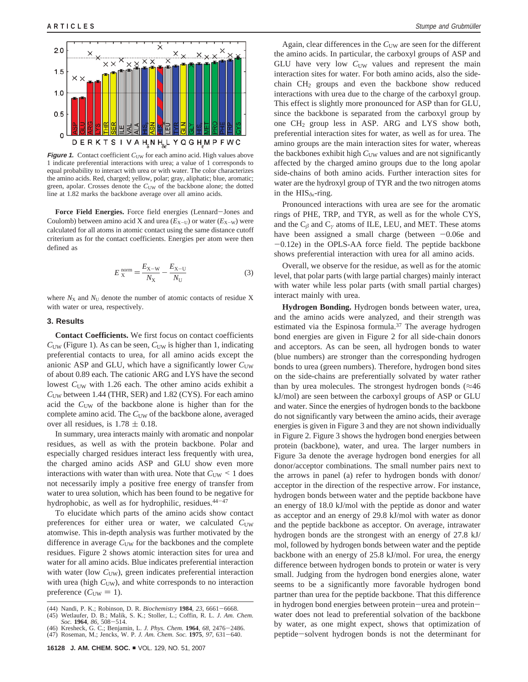

**Figure 1.** Contact coefficient  $C_{\text{UW}}$  for each amino acid. High values above 1 indicate preferential interactions with urea; a value of 1 corresponds to equal probability to interact with urea or with water. The color characterizes the amino acids. Red, charged; yellow, polar; gray, aliphatic; blue, aromatic; green, apolar. Crosses denote the C<sub>UW</sub> of the backbone alone; the dotted line at 1.82 marks the backbone average over all amino acids.

**Force Field Energies.** Force field energies (Lennard-Jones and Coulomb) between amino acid X and urea  $(E_{X-U})$  or water  $(E_{X-W})$  were calculated for all atoms in atomic contact using the same distance cutoff criterium as for the contact coefficients. Energies per atom were then defined as

$$
E_{X}^{\text{norm}} = \frac{E_{X-W}}{N_{X}} - \frac{E_{X-U}}{N_{U}}
$$
(3)

where  $N_X$  and  $N_U$  denote the number of atomic contacts of residue X with water or urea, respectively.

## **3. Results**

**Contact Coefficients.** We first focus on contact coefficients  $C<sub>UW</sub>$  (Figure 1). As can be seen,  $C<sub>UW</sub>$  is higher than 1, indicating preferential contacts to urea, for all amino acids except the anionic ASP and GLU, which have a significantly lower  $C_{UW}$ of about 0.89 each. The cationic ARG and LYS have the second lowest C<sub>UW</sub> with 1.26 each. The other amino acids exhibit a *C*UW between 1.44 (THR, SER) and 1.82 (CYS). For each amino acid the  $C<sub>UW</sub>$  of the backbone alone is higher than for the complete amino acid. The C<sub>UW</sub> of the backbone alone, averaged over all residues, is  $1.78 \pm 0.18$ .

In summary, urea interacts mainly with aromatic and nonpolar residues, as well as with the protein backbone. Polar and especially charged residues interact less frequently with urea, the charged amino acids ASP and GLU show even more interactions with water than with urea. Note that  $C<sub>UW</sub> < 1$  does not necessarily imply a positive free energy of transfer from water to urea solution, which has been found to be negative for hydrophobic, as well as for hydrophilic, residues.<sup>44-47</sup>

To elucidate which parts of the amino acids show contact preferences for either urea or water, we calculated  $C_{UW}$ atomwise. This in-depth analysis was further motivated by the difference in average  $C_{\text{UW}}$  for the backbones and the complete residues. Figure 2 shows atomic interaction sites for urea and water for all amino acids. Blue indicates preferential interaction with water (low  $C<sub>UW</sub>$ ), green indicates preferential interaction with urea (high  $C<sub>UW</sub>$ ), and white corresponds to no interaction preference ( $C_{\text{UW}} = 1$ ).

Again, clear differences in the C<sub>UW</sub> are seen for the different the amino acids. In particular, the carboxyl groups of ASP and GLU have very low C<sub>UW</sub> values and represent the main interaction sites for water. For both amino acids, also the sidechain  $CH<sub>2</sub>$  groups and even the backbone show reduced interactions with urea due to the charge of the carboxyl group. This effect is slightly more pronounced for ASP than for GLU, since the backbone is separated from the carboxyl group by one CH2 group less in ASP. ARG and LYS show both, preferential interaction sites for water, as well as for urea. The amino groups are the main interaction sites for water, whereas the backbones exhibit high  $C<sub>UW</sub>$  values and are not significantly affected by the charged amino groups due to the long apolar side-chains of both amino acids. Further interaction sites for water are the hydroxyl group of TYR and the two nitrogen atoms in the  $HIS_{\delta\epsilon}$ -ring.

Pronounced interactions with urea are see for the aromatic rings of PHE, TRP, and TYR, as well as for the whole CYS, and the C*<sup>â</sup>* and C*<sup>γ</sup>* atoms of ILE, LEU, and MET. These atoms have been assigned a small charge (between  $-0.06e$  and  $-0.12e$ ) in the OPLS-AA force field. The peptide backbone shows preferential interaction with urea for all amino acids.

Overall, we observe for the residue, as well as for the atomic level, that polar parts (with large partial charges) mainly interact with water while less polar parts (with small partial charges) interact mainly with urea.

**Hydrogen Bonding.** Hydrogen bonds between water, urea, and the amino acids were analyzed, and their strength was estimated via the Espinosa formula.<sup>37</sup> The average hydrogen bond energies are given in Figure 2 for all side-chain donors and acceptors. As can be seen, all hydrogen bonds to water (blue numbers) are stronger than the corresponding hydrogen bonds to urea (green numbers). Therefore, hydrogen bond sites on the side-chains are preferentially solvated by water rather than by urea molecules. The strongest hydrogen bonds ( $\approx 46$ ) kJ/mol) are seen between the carboxyl groups of ASP or GLU and water. Since the energies of hydrogen bonds to the backbone do not significantly vary between the amino acids, their average energies is given in Figure 3 and they are not shown individually in Figure 2. Figure 3 shows the hydrogen bond energies between protein (backbone), water, and urea. The larger numbers in Figure 3a denote the average hydrogen bond energies for all donor/acceptor combinations. The small number pairs next to the arrows in panel (a) refer to hydrogen bonds with donor/ acceptor in the direction of the respective arrow. For instance, hydrogen bonds between water and the peptide backbone have an energy of 18.0 kJ/mol with the peptide as donor and water as acceptor and an energy of 29.8 kJ/mol with water as donor and the peptide backbone as acceptor. On average, intrawater hydrogen bonds are the strongest with an energy of 27.8 kJ/ mol, followed by hydrogen bonds between water and the peptide backbone with an energy of 25.8 kJ/mol. For urea, the energy difference between hydrogen bonds to protein or water is very small. Judging from the hydrogen bond energies alone, water seems to be a significantly more favorable hydrogen bond partner than urea for the peptide backbone. That this difference in hydrogen bond energies between protein-urea and proteinwater does not lead to preferential solvation of the backbone by water, as one might expect, shows that optimization of peptide-solvent hydrogen bonds is not the determinant for

<sup>(44)</sup> Nandi, P. K.; Robinson, D. R. *Biochemistry* **<sup>1984</sup>**, *<sup>23</sup>*, 6661-6668. (45) Wetlaufer, D. B.; Malik, S. K.; Stoller, L.; Coffin, R. L. *J. Am. Chem.*

Soc. **1964**, 86, 508–514.<br>(46) Kresheck, G. C.; Benjamin, L. J. Phys. Chem. **1964**, 68, 2476–2486.<br>(47) Roseman, M.; Jencks, W. P. J. Am. Chem. Soc. **1975**, 97, 631–640.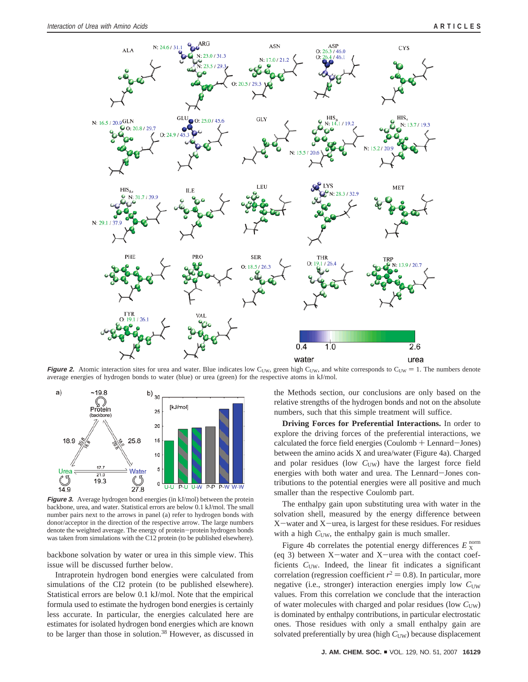

**Figure 2.** Atomic interaction sites for urea and water. Blue indicates low C<sub>UW</sub>, green high C<sub>UW</sub>, and white corresponds to C<sub>UW</sub> = 1. The numbers denote average energies of hydrogen bonds to water (blue) or urea (green) for the respective atoms in kJ/mol.



**Figure 3.** Average hydrogen bond energies (in kJ/mol) between the protein backbone, urea, and water. Statistical errors are below 0.1 kJ/mol. The small number pairs next to the arrows in panel (a) refer to hydrogen bonds with donor/acceptor in the direction of the respective arrow. The large numbers denote the weighted average. The energy of protein-protein hydrogen bonds was taken from simulations with the C12 protein (to be published elsewhere).

backbone solvation by water or urea in this simple view. This issue will be discussed further below.

Intraprotein hydrogen bond energies were calculated from simulations of the CI2 protein (to be published elsewhere). Statistical errors are below 0.1 kJ/mol. Note that the empirical formula used to estimate the hydrogen bond energies is certainly less accurate. In particular, the energies calculated here are estimates for isolated hydrogen bond energies which are known to be larger than those in solution.38 However, as discussed in the Methods section, our conclusions are only based on the relative strengths of the hydrogen bonds and not on the absolute numbers, such that this simple treatment will suffice.

**Driving Forces for Preferential Interactions.** In order to explore the driving forces of the preferential interactions, we calculated the force field energies (Coulomb + Lennard-Jones) between the amino acids X and urea/water (Figure 4a). Charged and polar residues (low  $C<sub>UW</sub>$ ) have the largest force field energies with both water and urea. The Lennard-Jones contributions to the potential energies were all positive and much smaller than the respective Coulomb part.

The enthalpy gain upon substituting urea with water in the solvation shell, measured by the energy difference between <sup>X</sup>-water and X-urea, is largest for these residues. For residues with a high  $C<sub>UW</sub>$ , the enthalpy gain is much smaller.

Figure 4b correlates the potential energy differences  $E_X^{\text{norm}}$ (eq 3) between  $X$ -water and  $X$ -urea with the contact coefficients C<sub>UW</sub>. Indeed, the linear fit indicates a significant correlation (regression coefficient  $r^2 = 0.8$ ). In particular, more negative (i.e., stronger) interaction energies imply low  $C<sub>UW</sub>$ values. From this correlation we conclude that the interaction of water molecules with charged and polar residues (low  $C_{UW}$ ) is dominated by enthalpy contributions, in particular electrostatic ones. Those residues with only a small enthalpy gain are solvated preferentially by urea (high  $C<sub>UW</sub>$ ) because displacement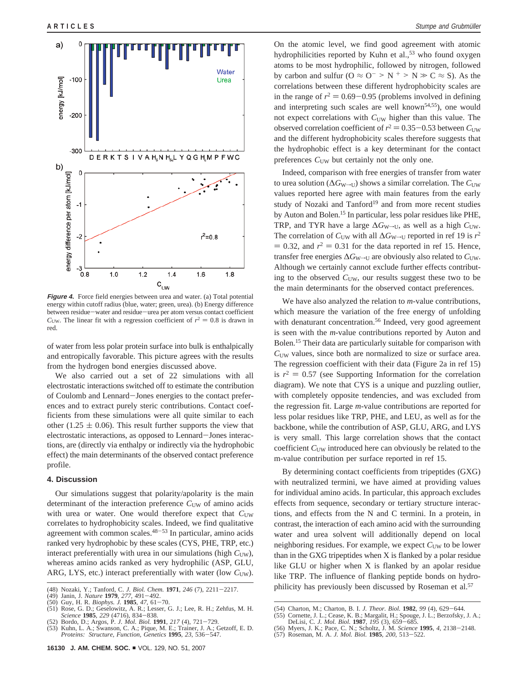

energy within cutoff radius (blue, water; green, urea). (b) Energy difference between residue-water and residue-urea per atom versus contact coefficient  $C<sub>UW</sub>$ . The linear fit with a regression coefficient of  $r^2 = 0.8$  is drawn in red.

of water from less polar protein surface into bulk is enthalpically and entropically favorable. This picture agrees with the results from the hydrogen bond energies discussed above.

We also carried out a set of 22 simulations with all electrostatic interactions switched off to estimate the contribution of Coulomb and Lennard-Jones energies to the contact preferences and to extract purely steric contributions. Contact coefficients from these simulations were all quite similar to each other (1.25  $\pm$  0.06). This result further supports the view that electrostatic interactions, as opposed to Lennard-Jones interactions, are (directly via enthalpy or indirectly via the hydrophobic effect) the main determinants of the observed contact preference profile.

### **4. Discussion**

Our simulations suggest that polarity/apolarity is the main determinant of the interaction preference  $C<sub>UW</sub>$  of amino acids with urea or water. One would therefore expect that  $C_{UW}$ correlates to hydrophobicity scales. Indeed, we find qualitative agreement with common scales. $48-53$  In particular, amino acids ranked very hydrophobic by these scales (CYS, PHE, TRP, etc.) interact preferentially with urea in our simulations (high  $C<sub>UW</sub>$ ), whereas amino acids ranked as very hydrophilic (ASP, GLU, ARG, LYS, etc.) interact preferentially with water (low C<sub>UW</sub>).

On the atomic level, we find good agreement with atomic hydrophilicities reported by Kuhn et al.,<sup>53</sup> who found oxygen atoms to be most hydrophilic, followed by nitrogen, followed by carbon and sulfur ( $O \approx O^{-} > N^{+} > N \gg C \approx S$ ). As the correlations between these different hydrophobicity scales are in the range of  $r^2 = 0.69 - 0.95$  (problems involved in defining and interpreting such scales are well known<sup>54,55</sup>), one would not expect correlations with  $C<sub>UW</sub>$  higher than this value. The observed correlation coefficient of  $r^2 = 0.35 - 0.53$  between  $C_{\text{UW}}$ and the different hydrophobicity scales therefore suggests that the hydrophobic effect is a key determinant for the contact preferences  $C<sub>UW</sub>$  but certainly not the only one.

Indeed, comparison with free energies of transfer from water to urea solution ( $\Delta G_{W\rightarrow U}$ ) shows a similar correlation. The *C*<sub>UW</sub> values reported here agree with main features from the early study of Nozaki and Tanford<sup>19</sup> and from more recent studies by Auton and Bolen.15 In particular, less polar residues like PHE, TRP, and TYR have a large  $\Delta G_{W\rightarrow U}$ , as well as a high  $C_{UW}$ . The correlation of  $C<sub>UW</sub>$  with all  $\Delta G_{W\rightarrow U}$  reported in ref 19 is  $r^2$  $= 0.32$ , and  $r^2 = 0.31$  for the data reported in ref 15. Hence, transfer free energies  $\Delta G_{W\rightarrow U}$  are obviously also related to  $C_{U\text{W}}$ . Although we certainly cannot exclude further effects contributing to the observed  $C<sub>UW</sub>$ , our results suggest these two to be the main determinants for the observed contact preferences.

We have also analyzed the relation to *m*-value contributions, which measure the variation of the free energy of unfolding with denaturant concentration.<sup>56</sup> Indeed, very good agreement is seen with the *m*-value contributions reported by Auton and Bolen.15 Their data are particularly suitable for comparison with  $C<sub>UW</sub>$  values, since both are normalized to size or surface area. The regression coefficient with their data (Figure 2a in ref 15) is  $r^2 = 0.57$  (see Supporting Information for the correlation diagram). We note that CYS is a unique and puzzling outlier, with completely opposite tendencies, and was excluded from the regression fit. Large *m*-value contributions are reported for less polar residues like TRP, PHE, and LEU, as well as for the backbone, while the contribution of ASP, GLU, ARG, and LYS is very small. This large correlation shows that the contact coefficient C<sub>UW</sub> introduced here can obviously be related to the m-value contribution per surface reported in ref 15.

By determining contact coefficients from tripeptides (GXG) with neutralized termini, we have aimed at providing values for individual amino acids. In particular, this approach excludes effects from sequence, secondary or tertiary structure interactions, and effects from the N and C termini. In a protein, in contrast, the interaction of each amino acid with the surrounding water and urea solvent will additionally depend on local neighboring residues. For example, we expect  $C<sub>UW</sub>$  to be lower than in the GXG tripeptides when X is flanked by a polar residue like GLU or higher when X is flanked by an apolar residue like TRP. The influence of flanking peptide bonds on hydrophilicity has previously been discussed by Roseman et al.57 (48) Nozaki, Y.; Tanford, C. *J. Biol. Chem.* **<sup>1971</sup>**, *<sup>246</sup>* (7), 2211-2217.

<sup>(49)</sup> Janin, J. *Nature* **<sup>1979</sup>**, *<sup>277</sup>*, 491-492. (50) Guy, H. R. *Biophys. J.* **<sup>1985</sup>**, *<sup>47</sup>*, 61-70.

<sup>(51)</sup> Rose, G. D.; Geselowitz, A. R.; Lesser, G. J.; Lee, R. H.; Zehfus, M. H. *Science* **<sup>1985</sup>**, *<sup>229</sup>* (4716), 834-838. (52) Bordo, D.; Argos, P. *J. Mol. Biol.* **<sup>1991</sup>**, *<sup>217</sup>* (4), 721-729.

<sup>(53)</sup> Kuhn, L. A.; Swanson, C. A.; Pique, M. E.; Trainer, J. A.; Getzoff, E. D. *Proteins: Structure, Function, Genetics* **<sup>1995</sup>**, *<sup>23</sup>*, 536-547.

<sup>(54)</sup> Charton, M.; Charton, B. I. *J. Theor. Biol.* **<sup>1982</sup>**, *<sup>99</sup>* (4), 629-644.

<sup>(55)</sup> Cornette, J. L.; Cease, K. B.; Margalit, H.; Spouge, J. L.; Berzofsky, J. A.; DeLisi, C. *J. Mol. Biol.* **1987**, 195 (3), 659–685.<br>(56) Myers, J. K.; Pace, C. N.; Scholtz, J. M. *Science* **1995**, 4, 2138–2148.<br>(57) Roseman, M. A. *J. Mol. Biol.* **1985**, 200, 513–522.